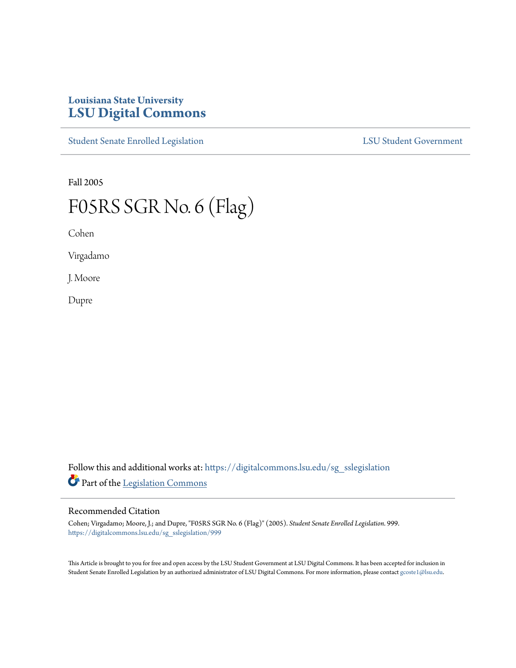## **Louisiana State University [LSU Digital Commons](https://digitalcommons.lsu.edu?utm_source=digitalcommons.lsu.edu%2Fsg_sslegislation%2F999&utm_medium=PDF&utm_campaign=PDFCoverPages)**

[Student Senate Enrolled Legislation](https://digitalcommons.lsu.edu/sg_sslegislation?utm_source=digitalcommons.lsu.edu%2Fsg_sslegislation%2F999&utm_medium=PDF&utm_campaign=PDFCoverPages) [LSU Student Government](https://digitalcommons.lsu.edu/sg?utm_source=digitalcommons.lsu.edu%2Fsg_sslegislation%2F999&utm_medium=PDF&utm_campaign=PDFCoverPages)

Fall 2005

## F05RS SGR No. 6 (Flag)

Cohen

Virgadamo

J. Moore

Dupre

Follow this and additional works at: [https://digitalcommons.lsu.edu/sg\\_sslegislation](https://digitalcommons.lsu.edu/sg_sslegislation?utm_source=digitalcommons.lsu.edu%2Fsg_sslegislation%2F999&utm_medium=PDF&utm_campaign=PDFCoverPages) Part of the [Legislation Commons](http://network.bepress.com/hgg/discipline/859?utm_source=digitalcommons.lsu.edu%2Fsg_sslegislation%2F999&utm_medium=PDF&utm_campaign=PDFCoverPages)

## Recommended Citation

Cohen; Virgadamo; Moore, J.; and Dupre, "F05RS SGR No. 6 (Flag)" (2005). *Student Senate Enrolled Legislation*. 999. [https://digitalcommons.lsu.edu/sg\\_sslegislation/999](https://digitalcommons.lsu.edu/sg_sslegislation/999?utm_source=digitalcommons.lsu.edu%2Fsg_sslegislation%2F999&utm_medium=PDF&utm_campaign=PDFCoverPages)

This Article is brought to you for free and open access by the LSU Student Government at LSU Digital Commons. It has been accepted for inclusion in Student Senate Enrolled Legislation by an authorized administrator of LSU Digital Commons. For more information, please contact [gcoste1@lsu.edu.](mailto:gcoste1@lsu.edu)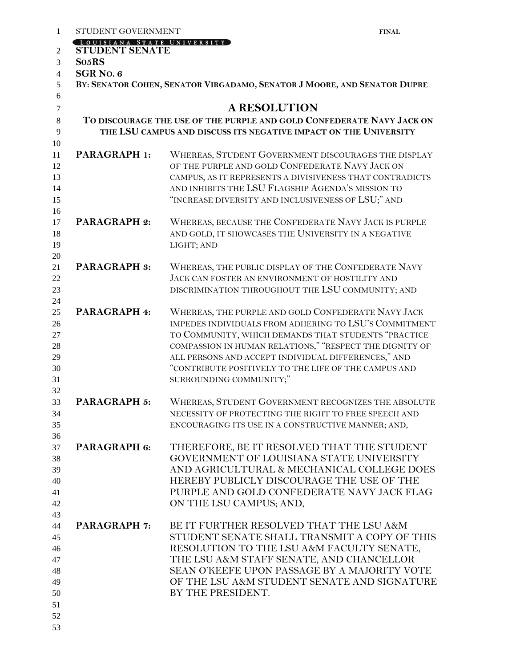| STUDENT GOVERNMENT                                 |                                                                          | <b>FINAL</b> |
|----------------------------------------------------|--------------------------------------------------------------------------|--------------|
| OUISIANA STATE UNIVERSITY<br><b>STUDENT SENATE</b> |                                                                          |              |
| So <sub>5</sub> RS                                 |                                                                          |              |
| SGR <sub>No.6</sub>                                |                                                                          |              |
|                                                    | BY: SENATOR COHEN, SENATOR VIRGADAMO, SENATOR J MOORE, AND SENATOR DUPRE |              |
|                                                    |                                                                          |              |
|                                                    | <b>A RESOLUTION</b>                                                      |              |
|                                                    | TO DISCOURAGE THE USE OF THE PURPLE AND GOLD CONFEDERATE NAVY JACK ON    |              |
|                                                    | THE LSU CAMPUS AND DISCUSS ITS NEGATIVE IMPACT ON THE UNIVERSITY         |              |
|                                                    |                                                                          |              |
| PARAGRAPH 1:                                       | WHEREAS, STUDENT GOVERNMENT DISCOURAGES THE DISPLAY                      |              |
|                                                    | OF THE PURPLE AND GOLD CONFEDERATE NAVY JACK ON                          |              |
|                                                    | CAMPUS, AS IT REPRESENTS A DIVISIVENESS THAT CONTRADICTS                 |              |
|                                                    | AND INHIBITS THE LSU FLAGSHIP AGENDA'S MISSION TO                        |              |
|                                                    | "INCREASE DIVERSITY AND INCLUSIVENESS OF LSU;" AND                       |              |
| <b>PARAGRAPH 2:</b>                                | WHEREAS, BECAUSE THE CONFEDERATE NAVY JACK IS PURPLE                     |              |
|                                                    | AND GOLD, IT SHOWCASES THE UNIVERSITY IN A NEGATIVE                      |              |
|                                                    | LIGHT; AND                                                               |              |
|                                                    |                                                                          |              |
| <b>PARAGRAPH 3:</b>                                | WHEREAS, THE PUBLIC DISPLAY OF THE CONFEDERATE NAVY                      |              |
|                                                    | JACK CAN FOSTER AN ENVIRONMENT OF HOSTILITY AND                          |              |
|                                                    | DISCRIMINATION THROUGHOUT THE LSU COMMUNITY; AND                         |              |
| PARAGRAPH 4:                                       | WHEREAS, THE PURPLE AND GOLD CONFEDERATE NAVY JACK                       |              |
|                                                    | IMPEDES INDIVIDUALS FROM ADHERING TO LSU'S COMMITMENT                    |              |
|                                                    | TO COMMUNITY, WHICH DEMANDS THAT STUDENTS "PRACTICE                      |              |
|                                                    | COMPASSION IN HUMAN RELATIONS," "RESPECT THE DIGNITY OF                  |              |
|                                                    | ALL PERSONS AND ACCEPT INDIVIDUAL DIFFERENCES," AND                      |              |
|                                                    | "CONTRIBUTE POSITIVELY TO THE LIFE OF THE CAMPUS AND                     |              |
|                                                    | SURROUNDING COMMUNITY;"                                                  |              |
| <b>PARAGRAPH 5:</b>                                | WHEREAS, STUDENT GOVERNMENT RECOGNIZES THE ABSOLUTE                      |              |
|                                                    | NECESSITY OF PROTECTING THE RIGHT TO FREE SPEECH AND                     |              |
|                                                    | ENCOURAGING ITS USE IN A CONSTRUCTIVE MANNER; AND,                       |              |
|                                                    |                                                                          |              |
| PARAGRAPH 6:                                       | THEREFORE, BE IT RESOLVED THAT THE STUDENT                               |              |
|                                                    | GOVERNMENT OF LOUISIANA STATE UNIVERSITY                                 |              |
|                                                    | AND AGRICULTURAL & MECHANICAL COLLEGE DOES                               |              |
|                                                    | HEREBY PUBLICLY DISCOURAGE THE USE OF THE                                |              |
|                                                    | PURPLE AND GOLD CONFEDERATE NAVY JACK FLAG                               |              |
|                                                    | ON THE LSU CAMPUS; AND,                                                  |              |
| <b>PARAGRAPH 7:</b>                                | BE IT FURTHER RESOLVED THAT THE LSU A&M                                  |              |
|                                                    | STUDENT SENATE SHALL TRANSMIT A COPY OF THIS                             |              |
|                                                    | RESOLUTION TO THE LSU A&M FACULTY SENATE,                                |              |
|                                                    | THE LSU A&M STAFF SENATE, AND CHANCELLOR                                 |              |
|                                                    | SEAN O'KEEFE UPON PASSAGE BY A MAJORITY VOTE                             |              |
|                                                    | OF THE LSU A&M STUDENT SENATE AND SIGNATURE                              |              |
|                                                    | BY THE PRESIDENT.                                                        |              |
|                                                    |                                                                          |              |
|                                                    |                                                                          |              |
|                                                    |                                                                          |              |